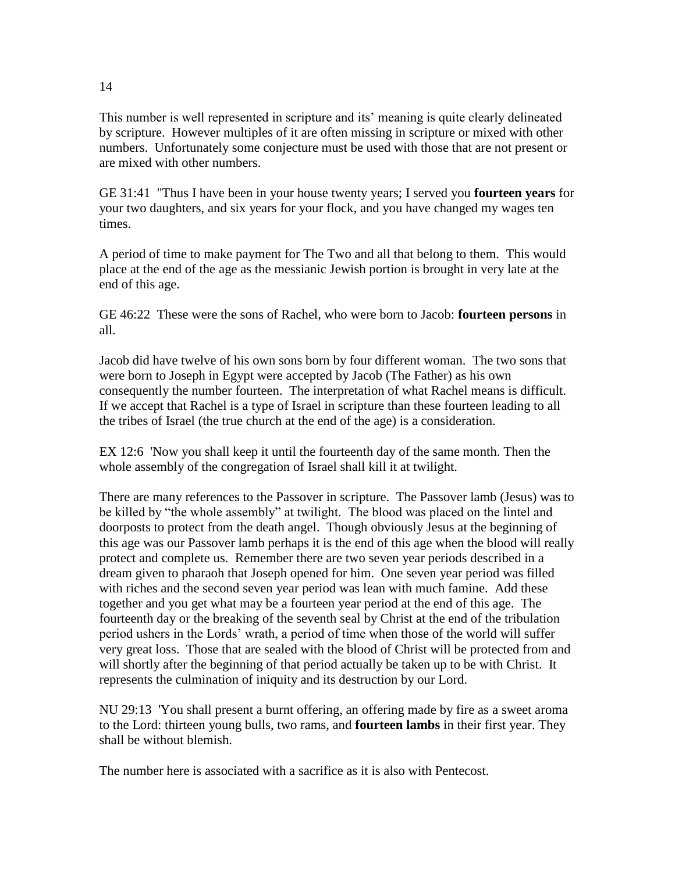This number is well represented in scripture and its' meaning is quite clearly delineated by scripture. However multiples of it are often missing in scripture or mixed with other numbers. Unfortunately some conjecture must be used with those that are not present or are mixed with other numbers.

GE 31:41 "Thus I have been in your house twenty years; I served you **fourteen years** for your two daughters, and six years for your flock, and you have changed my wages ten times.

A period of time to make payment for The Two and all that belong to them. This would place at the end of the age as the messianic Jewish portion is brought in very late at the end of this age.

GE 46:22 These were the sons of Rachel, who were born to Jacob: **fourteen persons** in all.

Jacob did have twelve of his own sons born by four different woman. The two sons that were born to Joseph in Egypt were accepted by Jacob (The Father) as his own consequently the number fourteen. The interpretation of what Rachel means is difficult. If we accept that Rachel is a type of Israel in scripture than these fourteen leading to all the tribes of Israel (the true church at the end of the age) is a consideration.

EX 12:6 'Now you shall keep it until the fourteenth day of the same month. Then the whole assembly of the congregation of Israel shall kill it at twilight.

There are many references to the Passover in scripture. The Passover lamb (Jesus) was to be killed by "the whole assembly" at twilight. The blood was placed on the lintel and doorposts to protect from the death angel. Though obviously Jesus at the beginning of this age was our Passover lamb perhaps it is the end of this age when the blood will really protect and complete us. Remember there are two seven year periods described in a dream given to pharaoh that Joseph opened for him. One seven year period was filled with riches and the second seven year period was lean with much famine. Add these together and you get what may be a fourteen year period at the end of this age. The fourteenth day or the breaking of the seventh seal by Christ at the end of the tribulation period ushers in the Lords' wrath, a period of time when those of the world will suffer very great loss. Those that are sealed with the blood of Christ will be protected from and will shortly after the beginning of that period actually be taken up to be with Christ. It represents the culmination of iniquity and its destruction by our Lord.

NU 29:13 'You shall present a burnt offering, an offering made by fire as a sweet aroma to the Lord: thirteen young bulls, two rams, and **fourteen lambs** in their first year. They shall be without blemish.

The number here is associated with a sacrifice as it is also with Pentecost.

14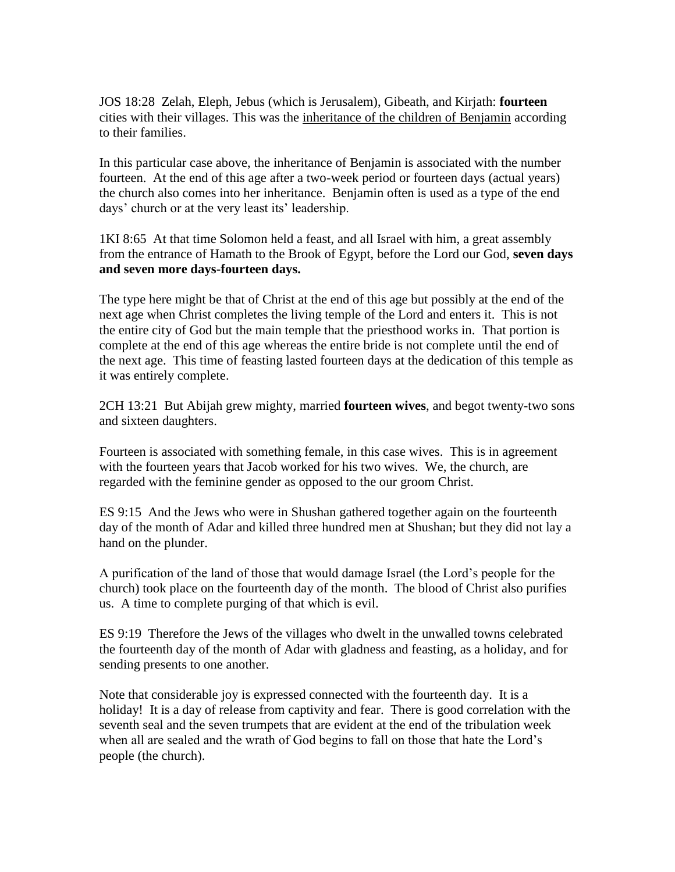JOS 18:28 Zelah, Eleph, Jebus (which is Jerusalem), Gibeath, and Kirjath: **fourteen** cities with their villages. This was the inheritance of the children of Benjamin according to their families.

In this particular case above, the inheritance of Benjamin is associated with the number fourteen. At the end of this age after a two-week period or fourteen days (actual years) the church also comes into her inheritance. Benjamin often is used as a type of the end days' church or at the very least its' leadership.

1KI 8:65 At that time Solomon held a feast, and all Israel with him, a great assembly from the entrance of Hamath to the Brook of Egypt, before the Lord our God, **seven days and seven more days-fourteen days.**

The type here might be that of Christ at the end of this age but possibly at the end of the next age when Christ completes the living temple of the Lord and enters it. This is not the entire city of God but the main temple that the priesthood works in. That portion is complete at the end of this age whereas the entire bride is not complete until the end of the next age. This time of feasting lasted fourteen days at the dedication of this temple as it was entirely complete.

2CH 13:21 But Abijah grew mighty, married **fourteen wives**, and begot twenty-two sons and sixteen daughters.

Fourteen is associated with something female, in this case wives. This is in agreement with the fourteen years that Jacob worked for his two wives. We, the church, are regarded with the feminine gender as opposed to the our groom Christ.

ES 9:15 And the Jews who were in Shushan gathered together again on the fourteenth day of the month of Adar and killed three hundred men at Shushan; but they did not lay a hand on the plunder.

A purification of the land of those that would damage Israel (the Lord's people for the church) took place on the fourteenth day of the month. The blood of Christ also purifies us. A time to complete purging of that which is evil.

ES 9:19 Therefore the Jews of the villages who dwelt in the unwalled towns celebrated the fourteenth day of the month of Adar with gladness and feasting, as a holiday, and for sending presents to one another.

Note that considerable joy is expressed connected with the fourteenth day. It is a holiday! It is a day of release from captivity and fear. There is good correlation with the seventh seal and the seven trumpets that are evident at the end of the tribulation week when all are sealed and the wrath of God begins to fall on those that hate the Lord's people (the church).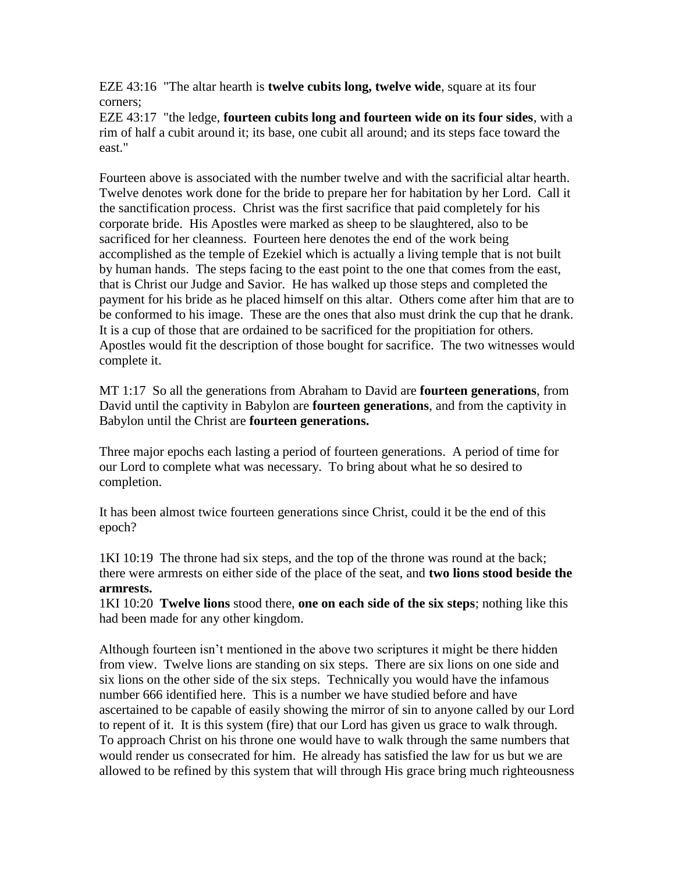EZE 43:16 "The altar hearth is **twelve cubits long, twelve wide**, square at its four corners;

EZE 43:17 "the ledge, **fourteen cubits long and fourteen wide on its four sides**, with a rim of half a cubit around it; its base, one cubit all around; and its steps face toward the east."

Fourteen above is associated with the number twelve and with the sacrificial altar hearth. Twelve denotes work done for the bride to prepare her for habitation by her Lord. Call it the sanctification process. Christ was the first sacrifice that paid completely for his corporate bride. His Apostles were marked as sheep to be slaughtered, also to be sacrificed for her cleanness. Fourteen here denotes the end of the work being accomplished as the temple of Ezekiel which is actually a living temple that is not built by human hands. The steps facing to the east point to the one that comes from the east, that is Christ our Judge and Savior. He has walked up those steps and completed the payment for his bride as he placed himself on this altar. Others come after him that are to be conformed to his image. These are the ones that also must drink the cup that he drank. It is a cup of those that are ordained to be sacrificed for the propitiation for others. Apostles would fit the description of those bought for sacrifice. The two witnesses would complete it.

MT 1:17 So all the generations from Abraham to David are **fourteen generations**, from David until the captivity in Babylon are **fourteen generations**, and from the captivity in Babylon until the Christ are **fourteen generations.**

Three major epochs each lasting a period of fourteen generations. A period of time for our Lord to complete what was necessary. To bring about what he so desired to completion.

It has been almost twice fourteen generations since Christ, could it be the end of this epoch?

1KI 10:19 The throne had six steps, and the top of the throne was round at the back; there were armrests on either side of the place of the seat, and **two lions stood beside the armrests.**

1KI 10:20 **Twelve lions** stood there, **one on each side of the six steps**; nothing like this had been made for any other kingdom.

Although fourteen isn't mentioned in the above two scriptures it might be there hidden from view. Twelve lions are standing on six steps. There are six lions on one side and six lions on the other side of the six steps. Technically you would have the infamous number 666 identified here. This is a number we have studied before and have ascertained to be capable of easily showing the mirror of sin to anyone called by our Lord to repent of it. It is this system (fire) that our Lord has given us grace to walk through. To approach Christ on his throne one would have to walk through the same numbers that would render us consecrated for him. He already has satisfied the law for us but we are allowed to be refined by this system that will through His grace bring much righteousness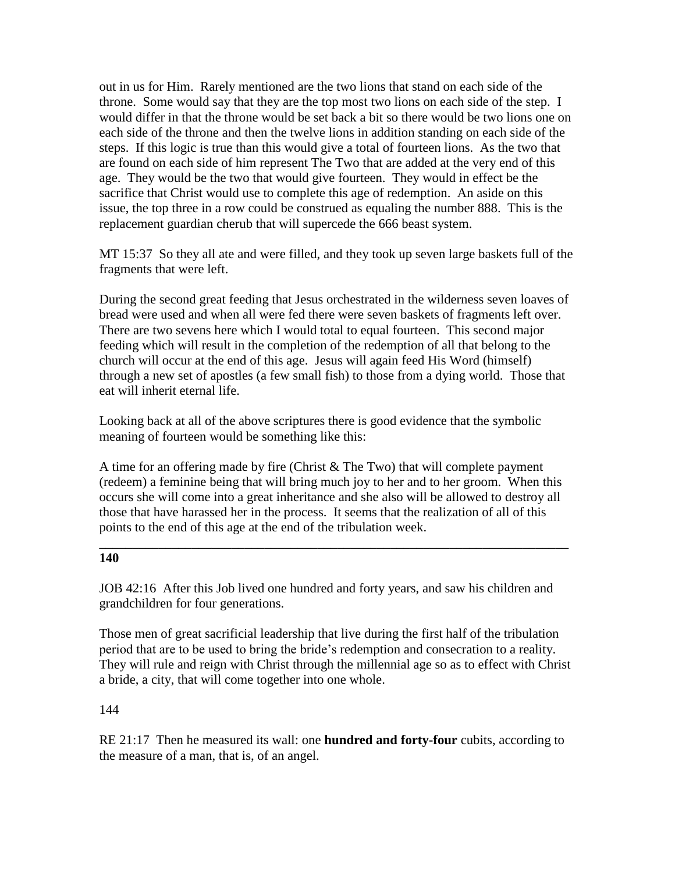out in us for Him. Rarely mentioned are the two lions that stand on each side of the throne. Some would say that they are the top most two lions on each side of the step. I would differ in that the throne would be set back a bit so there would be two lions one on each side of the throne and then the twelve lions in addition standing on each side of the steps. If this logic is true than this would give a total of fourteen lions. As the two that are found on each side of him represent The Two that are added at the very end of this age. They would be the two that would give fourteen. They would in effect be the sacrifice that Christ would use to complete this age of redemption. An aside on this issue, the top three in a row could be construed as equaling the number 888. This is the replacement guardian cherub that will supercede the 666 beast system.

MT 15:37 So they all ate and were filled, and they took up seven large baskets full of the fragments that were left.

During the second great feeding that Jesus orchestrated in the wilderness seven loaves of bread were used and when all were fed there were seven baskets of fragments left over. There are two sevens here which I would total to equal fourteen. This second major feeding which will result in the completion of the redemption of all that belong to the church will occur at the end of this age. Jesus will again feed His Word (himself) through a new set of apostles (a few small fish) to those from a dying world. Those that eat will inherit eternal life.

Looking back at all of the above scriptures there is good evidence that the symbolic meaning of fourteen would be something like this:

A time for an offering made by fire (Christ & The Two) that will complete payment (redeem) a feminine being that will bring much joy to her and to her groom. When this occurs she will come into a great inheritance and she also will be allowed to destroy all those that have harassed her in the process. It seems that the realization of all of this points to the end of this age at the end of the tribulation week.

\_\_\_\_\_\_\_\_\_\_\_\_\_\_\_\_\_\_\_\_\_\_\_\_\_\_\_\_\_\_\_\_\_\_\_\_\_\_\_\_\_\_\_\_\_\_\_\_\_\_\_\_\_\_\_\_\_\_\_\_\_\_\_\_\_\_\_\_\_\_\_

## **140**

JOB 42:16 After this Job lived one hundred and forty years, and saw his children and grandchildren for four generations.

Those men of great sacrificial leadership that live during the first half of the tribulation period that are to be used to bring the bride's redemption and consecration to a reality. They will rule and reign with Christ through the millennial age so as to effect with Christ a bride, a city, that will come together into one whole.

## 144

RE 21:17 Then he measured its wall: one **hundred and forty-four** cubits, according to the measure of a man, that is, of an angel.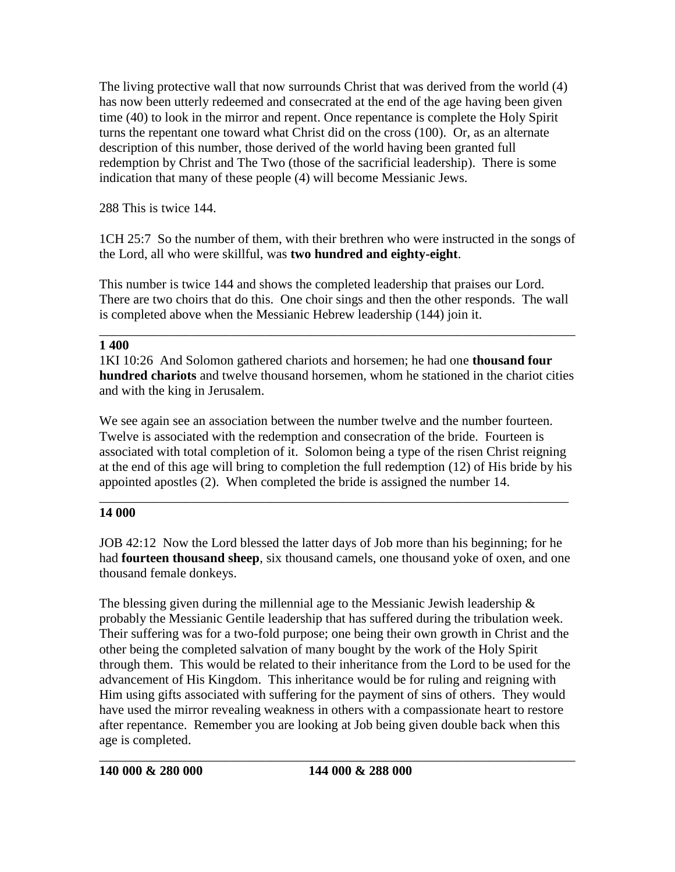The living protective wall that now surrounds Christ that was derived from the world (4) has now been utterly redeemed and consecrated at the end of the age having been given time (40) to look in the mirror and repent. Once repentance is complete the Holy Spirit turns the repentant one toward what Christ did on the cross (100). Or, as an alternate description of this number, those derived of the world having been granted full redemption by Christ and The Two (those of the sacrificial leadership). There is some indication that many of these people (4) will become Messianic Jews.

288 This is twice 144.

1CH 25:7 So the number of them, with their brethren who were instructed in the songs of the Lord, all who were skillful, was **two hundred and eighty-eight**.

This number is twice 144 and shows the completed leadership that praises our Lord. There are two choirs that do this. One choir sings and then the other responds. The wall is completed above when the Messianic Hebrew leadership (144) join it.

\_\_\_\_\_\_\_\_\_\_\_\_\_\_\_\_\_\_\_\_\_\_\_\_\_\_\_\_\_\_\_\_\_\_\_\_\_\_\_\_\_\_\_\_\_\_\_\_\_\_\_\_\_\_\_\_\_\_\_\_\_\_\_\_\_\_\_\_\_\_\_\_

## **1 400**

1KI 10:26 And Solomon gathered chariots and horsemen; he had one **thousand four hundred chariots** and twelve thousand horsemen, whom he stationed in the chariot cities and with the king in Jerusalem.

We see again see an association between the number twelve and the number fourteen. Twelve is associated with the redemption and consecration of the bride. Fourteen is associated with total completion of it. Solomon being a type of the risen Christ reigning at the end of this age will bring to completion the full redemption (12) of His bride by his appointed apostles (2). When completed the bride is assigned the number 14.

## \_\_\_\_\_\_\_\_\_\_\_\_\_\_\_\_\_\_\_\_\_\_\_\_\_\_\_\_\_\_\_\_\_\_\_\_\_\_\_\_\_\_\_\_\_\_\_\_\_\_\_\_\_\_\_\_\_\_\_\_\_\_\_\_\_\_\_\_\_\_\_ **14 000**

JOB 42:12 Now the Lord blessed the latter days of Job more than his beginning; for he had **fourteen thousand sheep**, six thousand camels, one thousand yoke of oxen, and one thousand female donkeys.

The blessing given during the millennial age to the Messianic Jewish leadership  $\&$ probably the Messianic Gentile leadership that has suffered during the tribulation week. Their suffering was for a two-fold purpose; one being their own growth in Christ and the other being the completed salvation of many bought by the work of the Holy Spirit through them. This would be related to their inheritance from the Lord to be used for the advancement of His Kingdom. This inheritance would be for ruling and reigning with Him using gifts associated with suffering for the payment of sins of others. They would have used the mirror revealing weakness in others with a compassionate heart to restore after repentance. Remember you are looking at Job being given double back when this age is completed.